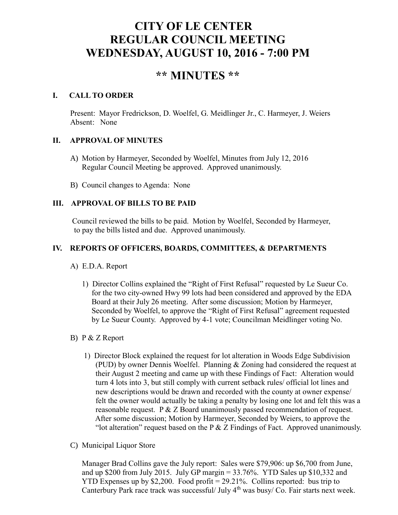# **CITY OF LE CENTER REGULAR COUNCIL MEETING WEDNESDAY, AUGUST 10, 2016 - 7:00 PM**

## **\*\* MINUTES \*\***

### **I. CALL TO ORDER**

Present: Mayor Fredrickson, D. Woelfel, G. Meidlinger Jr., C. Harmeyer, J. Weiers Absent: None

## **II. APPROVAL OF MINUTES**

- A) Motion by Harmeyer, Seconded by Woelfel, Minutes from July 12, 2016 Regular Council Meeting be approved. Approved unanimously.
- B) Council changes to Agenda: None

## **III. APPROVAL OF BILLS TO BE PAID**

Council reviewed the bills to be paid. Motion by Woelfel, Seconded by Harmeyer, to pay the bills listed and due. Approved unanimously.

## **IV. REPORTS OF OFFICERS, BOARDS, COMMITTEES, & DEPARTMENTS**

- A) E.D.A. Report
	- 1) Director Collins explained the "Right of First Refusal" requested by Le Sueur Co. for the two city-owned Hwy 99 lots had been considered and approved by the EDA Board at their July 26 meeting. After some discussion; Motion by Harmeyer, Seconded by Woelfel, to approve the "Right of First Refusal" agreement requested by Le Sueur County. Approved by 4-1 vote; Councilman Meidlinger voting No.

## B) P & Z Report

- 1) Director Block explained the request for lot alteration in Woods Edge Subdivision (PUD) by owner Dennis Woelfel. Planning & Zoning had considered the request at their August 2 meeting and came up with these Findings of Fact: Alteration would turn 4 lots into 3, but still comply with current setback rules/ official lot lines and new descriptions would be drawn and recorded with the county at owner expense/ felt the owner would actually be taking a penalty by losing one lot and felt this was a reasonable request. P  $&Z$  Board unanimously passed recommendation of request. After some discussion; Motion by Harmeyer, Seconded by Weiers, to approve the "lot alteration" request based on the P  $&Z$  Findings of Fact. Approved unanimously.
- C) Municipal Liquor Store

Manager Brad Collins gave the July report: Sales were \$79,906: up \$6,700 from June, and up \$200 from July 2015. July GP margin  $= 33.76\%$ . YTD Sales up \$10,332 and YTD Expenses up by \$2,200. Food profit = 29.21%. Collins reported: bus trip to Canterbury Park race track was successful/ July  $4<sup>th</sup>$  was busy/ Co. Fair starts next week.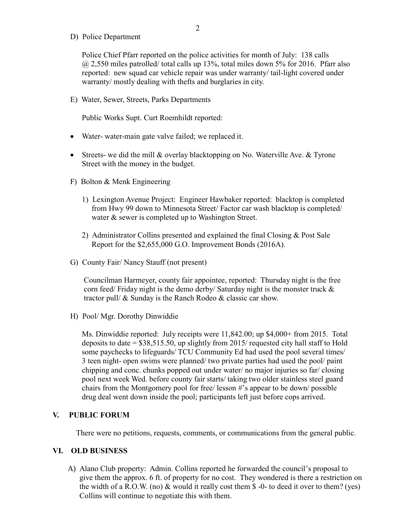D) Police Department

Police Chief Pfarr reported on the police activities for month of July: 138 calls @ 2,550 miles patrolled/ total calls up 13%, total miles down 5% for 2016. Pfarr also reported: new squad car vehicle repair was under warranty/ tail-light covered under warranty/ mostly dealing with thefts and burglaries in city.

E) Water, Sewer, Streets, Parks Departments

Public Works Supt. Curt Roemhildt reported:

- Water- water-main gate valve failed; we replaced it.
- Streets- we did the mill & overlay blacktopping on No. Waterville Ave. & Tyrone Street with the money in the budget.
- F) Bolton & Menk Engineering
	- 1) Lexington Avenue Project: Engineer Hawbaker reported: blacktop is completed from Hwy 99 down to Minnesota Street/ Factor car wash blacktop is completed/ water & sewer is completed up to Washington Street.
	- 2) Administrator Collins presented and explained the final Closing & Post Sale Report for the \$2,655,000 G.O. Improvement Bonds (2016A).
- G) County Fair/ Nancy Stauff (not present)

 Councilman Harmeyer, county fair appointee, reported: Thursday night is the free corn feed/ Friday night is the demo derby/ Saturday night is the monster truck & tractor pull/ & Sunday is the Ranch Rodeo & classic car show.

H) Pool/ Mgr. Dorothy Dinwiddie

 Ms. Dinwiddie reported: July receipts were 11,842.00; up \$4,000+ from 2015. Total deposits to date =  $$38,515.50$ , up slightly from 2015/ requested city hall staff to Hold some paychecks to lifeguards/ TCU Community Ed had used the pool several times/ 3 teen night- open swims were planned/ two private parties had used the pool/ paint chipping and conc. chunks popped out under water/ no major injuries so far/ closing pool next week Wed. before county fair starts/ taking two older stainless steel guard chairs from the Montgomery pool for free/ lesson #'s appear to be down/ possible drug deal went down inside the pool; participants left just before cops arrived.

#### **V. PUBLIC FORUM**

There were no petitions, requests, comments, or communications from the general public.

#### **VI. OLD BUSINESS**

A) Alano Club property: Admin. Collins reported he forwarded the council's proposal to give them the approx. 6 ft. of property for no cost. They wondered is there a restriction on the width of a R.O.W. (no)  $\&$  would it really cost them  $\$\text{-}0\text{-}$  to deed it over to them? (yes) Collins will continue to negotiate this with them.